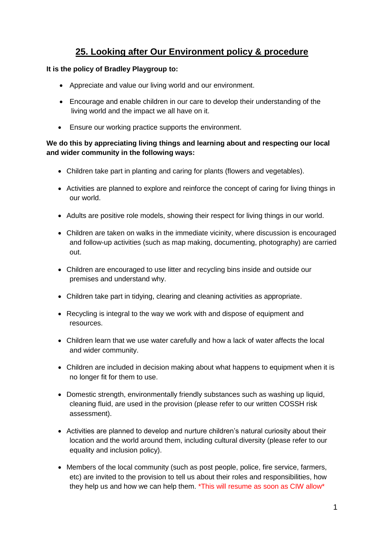## **25. Looking after Our Environment policy & procedure**

## **It is the policy of Bradley Playgroup to:**

- Appreciate and value our living world and our environment.
- Encourage and enable children in our care to develop their understanding of the living world and the impact we all have on it.
- Ensure our working practice supports the environment.

## **We do this by appreciating living things and learning about and respecting our local and wider community in the following ways:**

- Children take part in planting and caring for plants (flowers and vegetables).
- Activities are planned to explore and reinforce the concept of caring for living things in our world.
- Adults are positive role models, showing their respect for living things in our world.
- Children are taken on walks in the immediate vicinity, where discussion is encouraged and follow-up activities (such as map making, documenting, photography) are carried out.
- Children are encouraged to use litter and recycling bins inside and outside our premises and understand why.
- Children take part in tidying, clearing and cleaning activities as appropriate.
- Recycling is integral to the way we work with and dispose of equipment and resources.
- Children learn that we use water carefully and how a lack of water affects the local and wider community.
- Children are included in decision making about what happens to equipment when it is no longer fit for them to use.
- Domestic strength, environmentally friendly substances such as washing up liquid, cleaning fluid, are used in the provision (please refer to our written COSSH risk assessment).
- Activities are planned to develop and nurture children's natural curiosity about their location and the world around them, including cultural diversity (please refer to our equality and inclusion policy).
- Members of the local community (such as post people, police, fire service, farmers, etc) are invited to the provision to tell us about their roles and responsibilities, how they help us and how we can help them. \*This will resume as soon as CIW allow\*